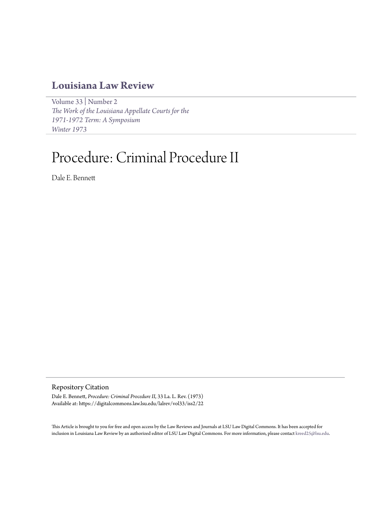# **[Louisiana Law Review](https://digitalcommons.law.lsu.edu/lalrev)**

[Volume 33](https://digitalcommons.law.lsu.edu/lalrev/vol33) | [Number 2](https://digitalcommons.law.lsu.edu/lalrev/vol33/iss2) *[The Work of the Louisiana Appellate Courts for the](https://digitalcommons.law.lsu.edu/lalrev/vol33/iss2) [1971-1972 Term: A Symposium](https://digitalcommons.law.lsu.edu/lalrev/vol33/iss2) [Winter 1973](https://digitalcommons.law.lsu.edu/lalrev/vol33/iss2)*

# Procedure: Criminal Procedure II

Dale E. Bennett

Repository Citation

Dale E. Bennett, *Procedure: Criminal Procedure II*, 33 La. L. Rev. (1973) Available at: https://digitalcommons.law.lsu.edu/lalrev/vol33/iss2/22

This Article is brought to you for free and open access by the Law Reviews and Journals at LSU Law Digital Commons. It has been accepted for inclusion in Louisiana Law Review by an authorized editor of LSU Law Digital Commons. For more information, please contact [kreed25@lsu.edu](mailto:kreed25@lsu.edu).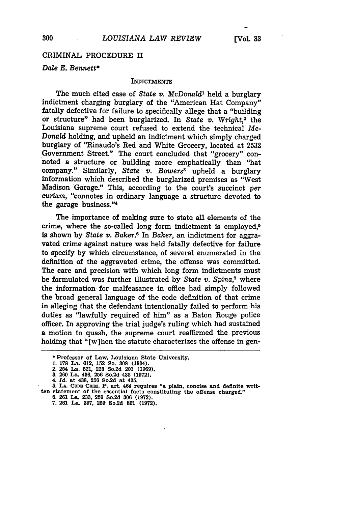## CRIMINAL PROCEDURE II

#### *Dale E. Bennett\**

#### **INDICTMENTS**

The much cited case of *State v. McDonald1* held a burglary indictment charging burglary of the "American Hat Company" fatally defective for failure to specifically allege that a "building or structure" had been burglarized. In *State v. Wright,2* the Louisiana supreme court refused to extend the technical Mc-*Donald* holding, and upheld an indictment which simply charged burglary of "Rinaudo's Red and White Grocery, located at 2532 Government Street." The court concluded that "grocery" connoted a structure or building more emphatically than "hat company." Similarly, *State v. Bowers"* upheld a burglary information which described the burglarized premises as "West Madison Garage." This, according to the court's succinct *per curiam,* "connotes in ordinary language a structure devoted to the garage business."<sup>4</sup>

The importance of making sure to state all elements of the crime, where the so-called long form indictment is employed,<sup>5</sup> is shown by *State v. Baker.6* In *Baker,'an* indictment for aggravated crime against nature was held fatally defective for failure to specify by which circumstance, of several enumerated in the definition of the aggravated crime, the offense was committed. The care and precision with which long form indictments must be formulated was further illustrated by *State v. Spina*,<sup>7</sup> where the information for malfeasance in office had simply followed the broad general language of the code definition of that crime in alleging that the defendant intentionally failed to perform his duties as "lawfully required of him" as a Baton Rouge police officer. In approving the trial judge's ruling which had sustained a motion to quash, the supreme court reaffirmed the previous holding that "[w]hen the statute characterizes the offense in gen-

**<sup>\*</sup>Professor of Law, Louisiana State University.**

**<sup>1. 178</sup> La. 612, 152 So. 308 (1934).**

**<sup>2. 254</sup> La. 521, 225 So.2d 201 (1969). 3. 260 La. 436, 256 So.2d 435 (1972).**

**<sup>4.</sup>** *Id.* **at 438, 256 So.2d at 435.**

**<sup>5.</sup> LA. CODs CeiM. P. art. 464 requires "a plain, concise and definite written statement of the essential facts constituting the offense charged." 6. 261 La. 233, 259 So.2d 306 (1972).**

**<sup>7. 261</sup> La. 397, 259 So.2d 891 (1972).**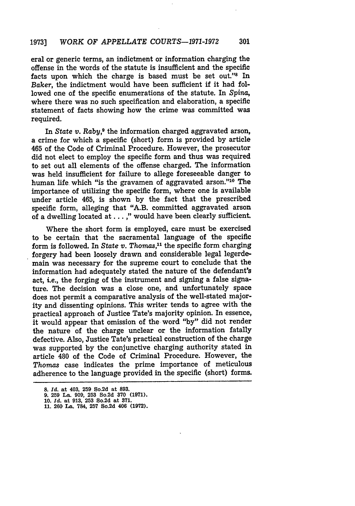## 1973] *WORK OF APPELLATE COURTS-1971-1972* **301**

eral or generic terms, an indictment or information charging the offense in the words of the statute is insufficient and the specific facts upon which the charge is based must be set out."<sup>8</sup> In *Baker,* the indictment would have been sufficient if it had followed one of the specific enumerations of the statute. In *Spina,* where there was no such specification and elaboration, a specific statement of facts showing how the crime was committed was required.

In *State v. Raby*,<sup>9</sup> the information charged aggravated arson, a crime for which a specific (short) form is provided by article 465 of the Code of Criminal Procedure. However, the prosecutor did not elect to employ the specific form and thus was required to set out all elements of the offense charged. The information was held insufficient for failure to allege foreseeable danger to human life which "is the gravamen of aggravated arson."<sup>10</sup> The importance of utilizing the specific form, where one is available under article 465, is shown by the fact that the prescribed specific form, alleging that "A.B. committed aggravated arson of a dwelling located at... ," would have been clearly sufficient.

Where the short form is employed, care must be exercised to be certain that the sacramental language of the specific form is followed. In *State v. Thomas*,<sup>11</sup> the specific form charging forgery had been loosely drawn and considerable legal legerdemain was necessary for the supreme court to conclude that the information had adequately stated the nature of the defendant's act, i.e., the forging of the instrument and signing a false signature. The decision was a close one, and unfortunately space does not permit a comparative analysis of the well-stated majority and dissenting opinions. This writer tends to agree with the practical approach of Justice Tate's majority opinion. In essence, it would appear that omission of the word "by" did not render the nature of the charge unclear or the information fatally defective. Also, Justice Tate's practical construction of the charge was supported by the conjunctive charging authority stated in article 480 of the Code of Criminal Procedure. However, the *Thomas* case indicates the prime importance of meticulous adherence to the language provided in the specific (short) forms.

**<sup>8.</sup>** *Id.* at 403, **259** So.2d at **893.**

**<sup>9. 259</sup> La. 909, 253** So.2d **370 (1971). 10.** *Id.* **at 913, 253** So.2d **at 371.**

**<sup>11. 260</sup> La. 784, 257** So.2d **406 (1972).**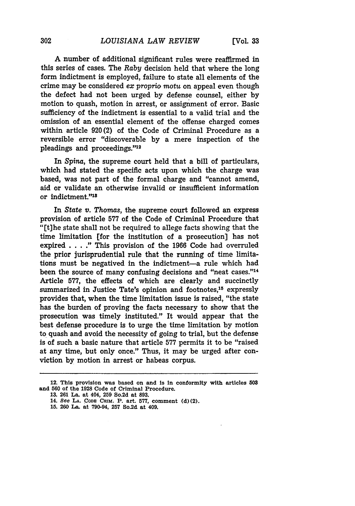A number of additional significant rules were reaffirmed in this series of cases. The *Raby* decision held that where the long form indictment is employed, failure to state all elements of the crime may be considered *ex* proprio *motu* on appeal even though the defect had not been urged by defense counsel, either by

**[Vol. 33**

motion to quash, motion in arrest, or assignment of error. Basic sufficiency of the indictment is essential to a valid trial and the omission of an essential element of the offense charged comes within article 920 (2) of the Code of Criminal Procedure as a reversible error "discoverable by a mere inspection of the pleadings and proceedings."<sup>12</sup>

In *Spina,* the supreme court held that a bill of particulars, which had stated the specific acts upon which the charge was based, was not part of the formal charge and "cannot amend, aid or validate an otherwise invalid or insufficient information or indictment."<sup>18</sup>

In *State v. Thomas,* the supreme court followed an express provision of article 577 of the Code of Criminal Procedure that "[t]he state shall not be required to allege facts showing that the time limitation [for the institution of a prosecution] has not expired . **. . ."** This provision of the 1966 Code had overruled the prior jurisprudential rule that the running of time limitations must be negatived in the indictment-a rule which had been the source of many confusing decisions and "neat cases."<sup>14</sup> Article 577, the effects of which are clearly and succinctly summarized in Justice Tate's opinion and footnotes,<sup>15</sup> expressly provides that, when the time limitation issue is raised, "the state has the burden of proving the facts necessary to show that the prosecution was timely instituted." It would appear that the best defense procedure is to urge the time limitation by motion to quash and avoid the necessity of going to trial, but the defense is of such a basic nature that article 577 permits it to be "raised at any time, but only once." Thus, it may be urged after conviction by motion in arrest or habeas corpus.

**<sup>12.</sup> This** provision was based on and is in conformity with articles **503 and 560 of the 1928 Code of Criminal Procedure.**

**<sup>13. 261</sup>** La. at 404, **259** So.2d at **893.**

<sup>14.</sup> See **LA. CODM** CRIM. P. art. **577,** comment **(d)** (2).

**<sup>15. 260</sup>** La. at **790-94, 257** So.2d at 409.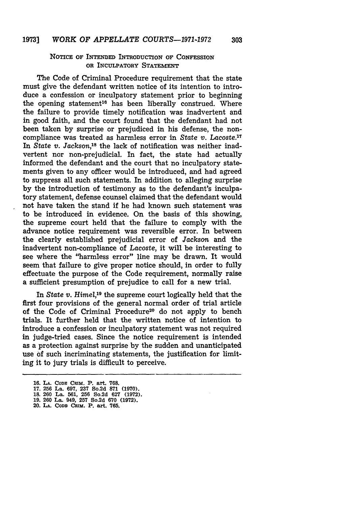### NOTICE **OF INTENDED INTRODUCTION OF CONFESSION OR INCULPATORY STATEMENT**

The Code of Criminal Procedure requirement that the state must give the defendant written notice of its intention to introduce a confession or inculpatory statement prior to beginning the opening statement<sup>16</sup> has been liberally construed. Where the failure to provide timely notification was inadvertent and in good faith, and the court found that the defendant had not been taken by surprise or prejudiced in his defense, the noncompliance was treated as harmless error in State *v.* Lacoste.<sup>17</sup> In State *v. Jackson,18* the lack of notification was neither inadvertent nor non-prejudicial. In fact, the state had actually informed the defendant and the court that no inculpatory statements given to any officer would be introduced, and had agreed to suppress all such statements. In addition to alleging surprise by the introduction of testimony as to the defendant's inculpatory statement, defense counsel claimed that the defendant would not have taken the stand if he had known such statement was to be introduced in evidence. On the basis of this showing, the supreme court held that the failure to comply with the advance notice requirement was reversible error. In between the clearly established prejudicial error of *Jackson* and the inadvertent non-compliance of Lacoste, it will be interesting to see where the "harmless error" line may be drawn. It would seem that failure to give proper notice should, in order to fully effectuate the purpose of the Code requirement, normally raise a sufficient presumption of prejudice to call for a new trial.

In *State v. Himel,19* the supreme court logically held that the first four provisions of the general normal order of trial article of the Code of Criminal Procedure<sup>20</sup> do not apply to bench trials. It further held that the written notice of intention to introduce a confession or inculpatory statement was not required in judge-tried cases. Since the notice requirement is intended as a protection against surprise by the sudden and unanticipated use of such incriminating statements, the justification for limiting it to jury trials is difficult to perceive.

**<sup>16.</sup> LA. CODw** CRIM. **P. art. 768.**

**<sup>17. 256</sup> La. 697, 237 So.2d 871 (1970).**

**<sup>18. 260</sup> La. 561, 256 So.2d 627 (1972).**

**<sup>19. 260</sup> La. 949, 257 So.2d 670 (1972).**

<sup>20.</sup> LA. CODE CRIM. P. art. 765.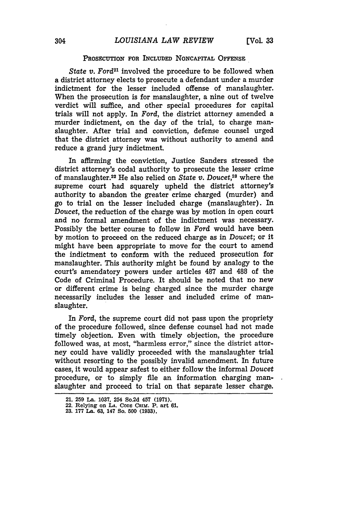#### **PROSECUTION** FOR INCLUDED NONCAPITAL **OFFENSE**

*State v. Ford<sup>21</sup>* involved the procedure to be followed when a district attorney elects to prosecute a defendant under a murder indictment for the lesser included offense of manslaughter. When the prosecution is for manslaughter, a nine out of twelve verdict will suffice, and other special procedures for capital trials will not apply. In *Ford,* the district attorney amended a murder indictment, on the day of the trial, to charge manslaughter. After trial and conviction, defense counsel urged that the district attorney was without authority to amend and reduce a grand jury indictment.

In affirming the conviction, Justice Sanders stressed the district attorney's codal authority to prosecute the lesser crime of manslaughter.<sup>22</sup> He also relied on *State v. Doucet*,<sup>28</sup> where the supreme court had squarely upheld the district attorney's authority to abandon the greater crime charged (murder) and go to trial on the lesser included charge (manslaughter). In *Doucet,* the reduction of the charge was by motion in open court and no formal amendment of the indictment was necessary. Possibly the better course to follow in *Ford* would have been by motion to proceed on the reduced charge as in *Doucet;* or it might have been appropriate to move for the court to amend the indictment to conform with the reduced prosecution for manslaughter. This authority might be found by analogy to the court's amendatory powers under articles 487 and 488 of the Code of Criminal Procedure. It should be noted that no new or different crime is being charged since the murder charge necessarily includes the lesser and included crime of manslaughter.

In *Ford,* the supreme court did not pass upon the propriety of the procedure followed, since defense counsel had not made timely objection. Even with timely objection, the procedure followed was, at most, "harmless error," since the district attorney could have validly proceeded with the manslaughter trial without resorting to the possibly invalid amendment. In future cases, it would appear safest to either follow the informal *Doucet* procedure, or to simply file an information charging manslaughter and proceed to trial on that separate lesser charge.

**<sup>21. 259</sup> La. 1037, 254 So.2d 457 (1971).**

**<sup>22.</sup> Relying on LA. CODE CRIM. P. art 61. 23. 177 La. 63, 147 So. 500 (1933).**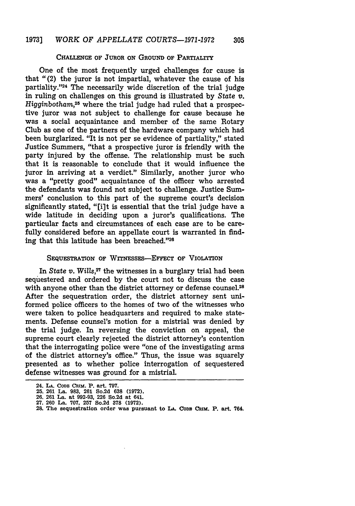#### **CHALLENGE OF** JUROR ON **GROUND** OF PARTIALITY

One of the most frequently urged challenges for cause is that "(2) the juror is not impartial, whatever the cause of his partiality."<sup>24</sup> The necessarily wide discretion of the trial judge in ruling on challenges on this ground is illustrated **by** State *v. Higginbotham,25* where the trial judge had ruled that a prospective juror was not subject to challenge for cause because he was a social acquaintance and member of the same Rotary Club as one of the partners of the hardware company which had been burglarized. "It is not per se evidence of partiality," stated Justice Summers, "that a prospective juror is friendly with the party injured by the offense. The relationship must be such that it is reasonable to conclude that it would influence the juror in arriving at a verdict." Similarly, another juror who was a "pretty good" acquaintance of the officer who arrested the defendants was found not subject to challenge. Justice Summers' conclusion to this part of the supreme court's decision significantly stated, "[i]t is essential that the trial judge have a wide latitude in deciding upon a juror's qualifications. The particular facts and circumstances of each case are to be carefully considered before an appellate court is warranted in finding that this latitude has been breached."26

#### **SEQUESTRATION OF WITNESSES-EFFECT OF VIOLATION**

In *State v. Wills*,<sup>27</sup> the witnesses in a burglary trial had been sequestered and ordered **by** the court not to discuss the case with anyone other than the district attorney or defense counsel.<sup>28</sup> After the sequestration order, the district attorney sent uniformed police officers to the homes of two of the witnesses who were taken to police headquarters and required to make statements. Defense counsel's motion for a mistrial was denied **by** the trial judge. In reversing the conviction on appeal, the supreme court clearly rejected the district attorney's contention that the interrogating police were "one of the investigating arms of the district attorney's office." Thus, the issue was squarely presented as to whether police interrogation of sequestered defense witnesses was ground for a mistrial.

**<sup>24.</sup> LA. CODB C~ux,. P. art. 797. 25. 261 La. 983, 261 So.2d 638 (1972).**

**<sup>26. 261</sup> La. at 992-93, 226 So.2d at 641.**

**<sup>27. 260</sup> La. 707, 257 So.2d 378 (1972).**

**<sup>28.</sup> The sequestration order was pursuant to LA. Conr CiuM. P. art. 764.**